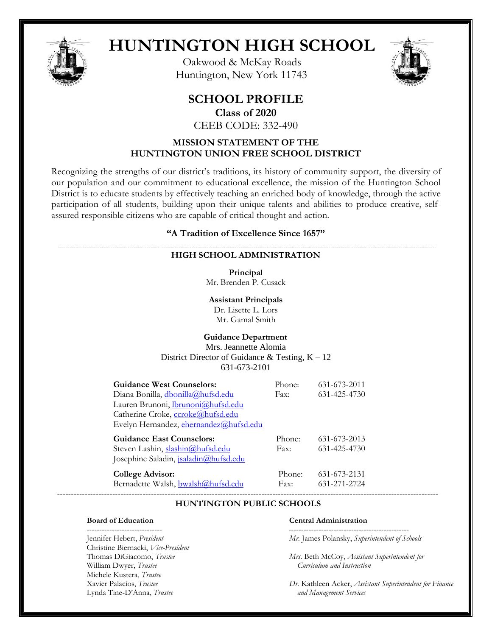

# **HUNTINGTON HIGH SCHOOL**

Oakwood & McKay Roads Huntington, New York 11743



# **SCHOOL PROFILE**

**Class of 2020**

CEEB CODE: 332-490

# **MISSION STATEMENT OF THE HUNTINGTON UNION FREE SCHOOL DISTRICT**

Recognizing the strengths of our district's traditions, its history of community support, the diversity of our population and our commitment to educational excellence, the mission of the Huntington School District is to educate students by effectively teaching an enriched body of knowledge, through the active participation of all students, building upon their unique talents and abilities to produce creative, selfassured responsible citizens who are capable of critical thought and action.

# **"A Tradition of Excellence Since 1657"**

#### *---------------------------------------------------------------------------------------------------------------------------------------------------------------------------------------------------------* **HIGH SCHOOL ADMINISTRATION**

**Principal** Mr. Brenden P. Cusack

**Assistant Principals** Dr. Lisette L. Lors Mr. Gamal Smith

# **Guidance Department** Mrs. Jeannette Alomia District Director of Guidance  $\&$  Testing,  $K - 12$ 631-673-2101

| <b>Guidance West Counselors:</b>             | Phone: | 631-673-2011 |
|----------------------------------------------|--------|--------------|
| Diana Bonilla, dbonilla@hufsd.edu            | Fax:   | 631-425-4730 |
| Lauren Brunoni, <i>Ibrunoni@hufsd.edu</i>    |        |              |
| Catherine Croke, ccroke@hufsd.edu            |        |              |
| Evelyn Hernandez, ehernandez@hufsd.edu       |        |              |
| <b>Guidance East Counselors:</b>             | Phone: | 631-673-2013 |
| Steven Lashin, slashin@hufsd.edu             | Fax:   | 631-425-4730 |
| Josephine Saladin, <i>isaladin@hufsd.edu</i> |        |              |
| <b>College Advisor:</b>                      | Phone: | 631-673-2131 |
| Bernadette Walsh, bwalsh@hufsd.edu           | Fax:   | 631-271-2724 |

### ------------------------------------------------------------------------------------------------------------------------------------------  **HUNTINGTON PUBLIC SCHOOLS**

------------------------------ ------------------------------------------------ Christine Biernacki, *Vice-President*  William Dwyer, *Trustee Curriculum and Instruction* Michele Kustera, *Trustee*  Lynda Tine-D'Anna, *Trustee and Management Services*

#### **Board of Education Central Administration**

Jennifer Hebert, *President Mr.* James Polansky, *Superintendent of Schools*

Mrs. Beth McCoy, *Assistant Superintendent for* 

Dr. Kathleen Acker, *Assistant Superintendent for Finance*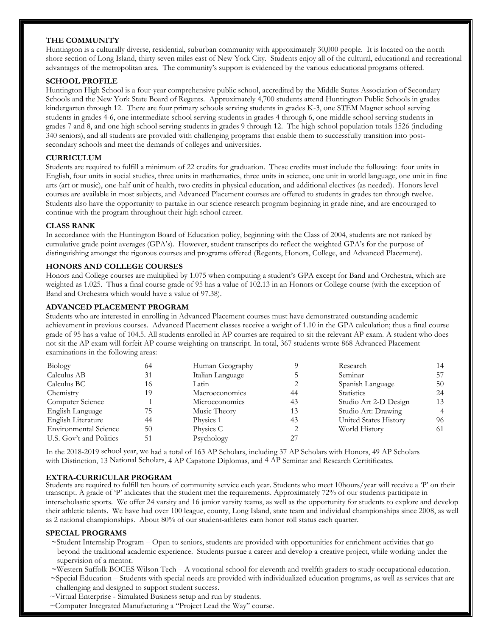# **THE COMMUNITY**

Huntington is a culturally diverse, residential, suburban community with approximately 30,000 people. It is located on the north shore section of Long Island, thirty seven miles east of New York City. Students enjoy all of the cultural, educational and recreational advantages of the metropolitan area. The community's support is evidenced by the various educational programs offered.

### **SCHOOL PROFILE**

Huntington High School is a four-year comprehensive public school, accredited by the Middle States Association of Secondary Schools and the New York State Board of Regents. Approximately 4,700 students attend Huntington Public Schools in grades kindergarten through 12. There are four primary schools serving students in grades K-3, one STEM Magnet school serving students in grades 4-6, one intermediate school serving students in grades 4 through 6, one middle school serving students in grades 7 and 8, and one high school serving students in grades 9 through 12. The high school population totals 1526 (including 340 seniors), and all students are provided with challenging programs that enable them to successfully transition into postsecondary schools and meet the demands of colleges and universities.

# **CURRICULUM**

Students are required to fulfill a minimum of 22 credits for graduation. These credits must include the following: four units in English, four units in social studies, three units in mathematics, three units in science, one unit in world language, one unit in fine arts (art or music), one-half unit of health, two credits in physical education, and additional electives (as needed). Honors level courses are available in most subjects, and Advanced Placement courses are offered to students in grades ten through twelve. Students also have the opportunity to partake in our science research program beginning in grade nine, and are encouraged to continue with the program throughout their high school career.

# **CLASS RANK**

In accordance with the Huntington Board of Education policy, beginning with the Class of 2004, students are not ranked by cumulative grade point averages (GPA's). However, student transcripts do reflect the weighted GPA's for the purpose of distinguishing amongst the rigorous courses and programs offered (Regents, Honors, College, and Advanced Placement).

# **HONORS AND COLLEGE COURSES**

Honors and College courses are multiplied by 1.075 when computing a student's GPA except for Band and Orchestra, which are weighted as 1.025. Thus a final course grade of 95 has a value of 102.13 in an Honors or College course (with the exception of Band and Orchestra which would have a value of 97.38).

# **ADVANCED PLACEMENT PROGRAM**

Students who are interested in enrolling in Advanced Placement courses must have demonstrated outstanding academic achievement in previous courses. Advanced Placement classes receive a weight of 1.10 in the GPA calculation; thus a final course grade of 95 has a value of 104.5. All students enrolled in AP courses are required to sit the relevant AP exam. A student who does not sit the AP exam will forfeit AP course weighting on transcript. In total, 367 students wrote 868 Advanced Placement examinations in the following areas:

| Biology                      | 64 | Human Geography  |    | Research              | 14 |
|------------------------------|----|------------------|----|-----------------------|----|
| Calculus AB                  | 31 | Italian Language |    | Seminar               | 57 |
| Calculus BC                  | 16 | Latin            |    | Spanish Language      | 50 |
| Chemistry                    | 19 | Macroeconomics   | 44 | <b>Statistics</b>     | 24 |
| Computer Science             |    | Microeconomics   | 43 | Studio Art 2-D Design | 13 |
| English Language             | /5 | Music Theory     | 13 | Studio Art: Drawing   | 4  |
| English Literature           | 44 | Physics 1        | 43 | United States History | 96 |
| <b>Environmental Science</b> | 50 | Physics C        |    | World History         | 61 |
| U.S. Gov't and Politics      | 51 | Psychology       | 27 |                       |    |

In the 2018-2019 school year, we had a total of 163 AP Scholars, including 37 AP Scholars with Honors, 49 AP Scholars with Distinction, 13 National Scholars, 4 AP Capstone Diplomas, and 4 AP Seminar and Research Certitificates.

### **EXTRA-CURRICULAR PROGRAM**

Students are required to fulfill ten hours of community service each year. Students who meet 10hours/year will receive a 'P' on their transcript. A grade of 'P' indicates that the student met the requirements. Approximately 72% of our students participate in interscholastic sports. We offer 24 varsity and 16 junior varsity teams, as well as the opportunity for students to explore and develop their athletic talents. We have had over 100 league, county, Long Island, state team and individual championships since 2008, as well as 2 national championships. About 80% of our student-athletes earn honor roll status each quarter.

### **SPECIAL PROGRAMS**

- **~**Student Internship Program Open to seniors, students are provided with opportunities for enrichment activities that go beyond the traditional academic experience. Students pursue a career and develop a creative project, while working under the supervision of a mentor.
- **~**Western Suffolk BOCES Wilson Tech A vocational school for eleventh and twelfth graders to study occupational education.  **~**Special Education – Students with special needs are provided with individualized education programs, as well as services that are challenging and designed to support student success.
- ~Virtual Enterprise Simulated Business setup and run by students.
- ~Computer Integrated Manufacturing a "Project Lead the Way" course.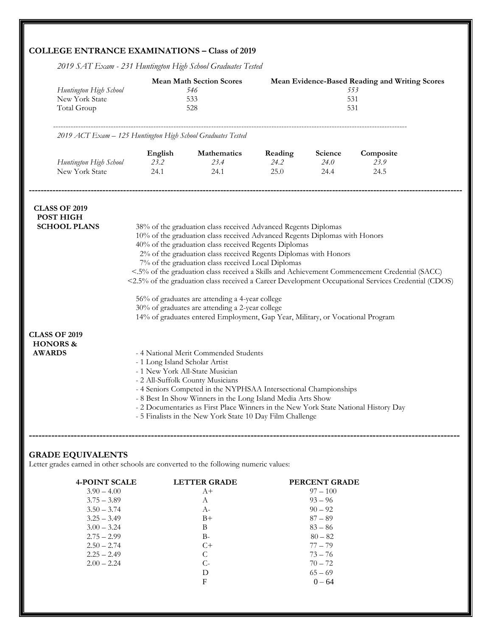# **COLLEGE ENTRANCE EXAMINATIONS – Class of 2019**

*2019 SAT Exam - 231 Huntington High School Graduates Tested* 

| Huntington High School<br>New York State<br>Total Group      |                                | <b>Mean Math Section Scores</b><br>546<br>533<br>528                                                                                                                                                                                                                                                                                                                                                                                                                                                                                                                                                                                                                                                                            |                         |                         | Mean Evidence-Based Reading and Writing Scores<br>553<br>531<br>531 |  |
|--------------------------------------------------------------|--------------------------------|---------------------------------------------------------------------------------------------------------------------------------------------------------------------------------------------------------------------------------------------------------------------------------------------------------------------------------------------------------------------------------------------------------------------------------------------------------------------------------------------------------------------------------------------------------------------------------------------------------------------------------------------------------------------------------------------------------------------------------|-------------------------|-------------------------|---------------------------------------------------------------------|--|
| 2019 ACT Exam - 125 Huntington High School Graduates Tested  |                                |                                                                                                                                                                                                                                                                                                                                                                                                                                                                                                                                                                                                                                                                                                                                 |                         |                         |                                                                     |  |
| Huntington High School<br>New York State                     | English<br>23.2<br>24.1        | Mathematics<br>23.4<br>24.1                                                                                                                                                                                                                                                                                                                                                                                                                                                                                                                                                                                                                                                                                                     | Reading<br>24.2<br>25.0 | Science<br>24.0<br>24.4 | Composite<br>23.9<br>24.5                                           |  |
| <b>CLASS OF 2019</b><br>POST HIGH<br><b>SCHOOL PLANS</b>     |                                | 38% of the graduation class received Advanced Regents Diplomas<br>10% of the graduation class received Advanced Regents Diplomas with Honors<br>40% of the graduation class received Regents Diplomas<br>2% of the graduation class received Regents Diplomas with Honors<br>7% of the graduation class received Local Diplomas<br><.5% of the graduation class received a Skills and Achievement Commencement Credential (SACC)<br><2.5% of the graduation class received a Career Development Occupational Services Credential (CDOS)<br>56% of graduates are attending a 4-year college<br>30% of graduates are attending a 2-year college<br>14% of graduates entered Employment, Gap Year, Military, or Vocational Program |                         |                         |                                                                     |  |
| <b>CLASS OF 2019</b><br><b>HONORS &amp;</b><br><b>AWARDS</b> | - 1 Long Island Scholar Artist | - 4 National Merit Commended Students<br>- 1 New York All-State Musician<br>- 2 All-Suffolk County Musicians<br>- 4 Seniors Competed in the NYPHSAA Intersectional Championships<br>- 8 Best In Show Winners in the Long Island Media Arts Show<br>- 2 Documentaries as First Place Winners in the New York State National History Day<br>- 5 Finalists in the New York State 10 Day Film Challenge                                                                                                                                                                                                                                                                                                                             |                         |                         |                                                                     |  |

# **GRADE EQUIVALENTS**

Letter grades earned in other schools are converted to the following numeric values:

| $3.90 - 4.00$<br>$97 - 100$<br>$A+$<br>$93 - 96$<br>$3.75 - 3.89$<br>A<br>$90 - 92$<br>$3.50 - 3.74$<br>$A-$<br>$87 - 89$<br>$3.25 - 3.49$<br>$B+$<br>$83 - 86$<br>$3.00 - 3.24$<br>B<br>$80 - 82$<br>$2.75 - 2.99$<br>B-<br>$C+$<br>$77 - 79$ |  |               |
|------------------------------------------------------------------------------------------------------------------------------------------------------------------------------------------------------------------------------------------------|--|---------------|
|                                                                                                                                                                                                                                                |  |               |
|                                                                                                                                                                                                                                                |  |               |
|                                                                                                                                                                                                                                                |  |               |
|                                                                                                                                                                                                                                                |  |               |
|                                                                                                                                                                                                                                                |  |               |
|                                                                                                                                                                                                                                                |  |               |
|                                                                                                                                                                                                                                                |  | $2.50 - 2.74$ |
| $73 - 76$<br>$2.25 - 2.49$<br>C                                                                                                                                                                                                                |  |               |
| $70 - 72$<br>$2.00 - 2.24$<br>$C-$                                                                                                                                                                                                             |  |               |
| $65 - 69$<br>D                                                                                                                                                                                                                                 |  |               |
| F<br>$0 - 64$                                                                                                                                                                                                                                  |  |               |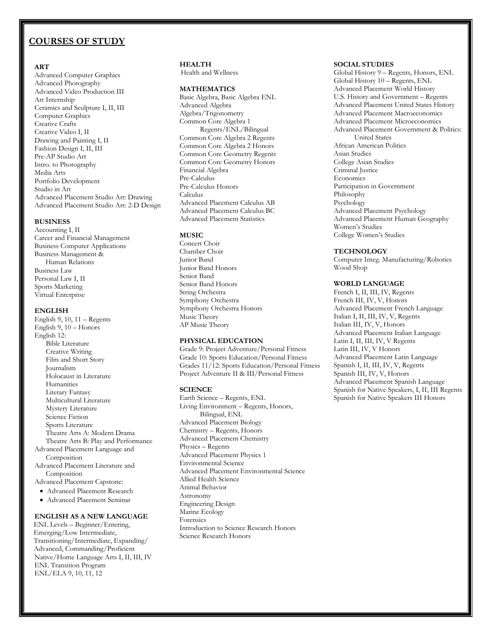# **COURSES OF STUDY**

#### **ART**

 Advanced Computer Graphics Advanced Photography Advanced Video Production III Art Internship Ceramics and Sculpture I, II, III Computer Graphics Creative Crafts Creative Video I, II Drawing and Painting I, II Fashion Design I, II, III Pre-AP Studio Art Intro. to Photography Media Arts Portfolio Development Studio in Art Advanced Placement Studio Art: Drawing Advanced Placement Studio Art: 2-D Design

#### **BUSINESS**

Accounting I, II Career and Financial Management Business Computer Applications Business Management & Human Relations Business Law Personal Law I, II Sports Marketing Virtual Enterprise

#### **ENGLISH**

English 9, 10, 11 – Regents English 9, 10 – Honors English 12: Bible Literature Creative Writing Film and Short Story Journalism Holocaust in Literature **Humanities** Literary Fantasy Multicultural Literature Mystery Literature Science Fiction Sports Literature Theatre Arts A: Modern Drama Theatre Arts B: Play and Performance Advanced Placement Language and Composition Advanced Placement Literature and **Composition** 

Advanced Placement Capstone:

- Advanced Placement Research
- Advanced Placement Seminar

# **ENGLISH AS A NEW LANGUAGE**

ENL Levels – Beginner/Entering, Emerging/Low Intermediate, Transitioning/Intermediate, Expanding/ Advanced, Commanding/Proficient Native/Home Language Arts I, II, III, IV ENL Transition Program ENL/ELA 9, 10, 11, 12

#### **HEALTH**

Health and Wellness

#### **MATHEMATICS**

Basic Algebra, Basic Algebra ENL Advanced Algebra Algebra/Trigonometry Common Core Algebra 1 Regents/ENL/Bilingual Common Core Algebra 2 Regents Common Core Algebra 2 Honors Common Core Geometry Regents Common Core Geometry Honors Financial Algebra Pre-Calculus Pre-Calculus Honors Calculus Advanced Placement Calculus AB Advanced Placement Calculus BC Advanced Placement Statistics

#### **MUSIC**

Concert Choir Chamber Choir Junior Band Junior Band Honors Senior Band Senior Band Honors String Orchestra Symphony Orchestra Symphony Orchestra Honors Music Theory AP Music Theory

#### **PHYSICAL EDUCATION**

Grade 9: Project Adventure/Personal Fitness Grade 10: Sports Education/Personal Fitness Grades 11/12: Sports Education/Personal Fitness Project Adventure II & III/Personal Fitness

#### **SCIENCE**

Earth Science – Regents, ENL Living Environment – Regents, Honors, Bilingual, ENL Advanced Placement Biology Chemistry – Regents, Honors Advanced Placement Chemistry Physics – Regents Advanced Placement Physics 1 Environmental Science Advanced Placement Environmental Science Allied Health Science Animal Behavior Astronomy Engineering Design Marine Ecology Forensics Introduction to Science Research Honors Science Research Honors

#### **SOCIAL STUDIES**

Global History 9 – Regents, Honors, ENL Global History 10 – Regents, ENL Advanced Placement World History U.S. History and Government – Regents Advanced Placement United States History Advanced Placement Macroeconomics Advanced Placement Microeconomics Advanced Placement Government & Politics: United States African American Politics Asian Studies College Asian Studies Criminal Justice **Economics** Participation in Government Philosophy Psychology Advanced Placement Psychology Advanced Placement Human Geography Women's Studies College Women's Studies

#### **TECHNOLOGY**

Computer Integ. Manufacturing/Robotics Wood Shop

#### **WORLD LANGUAGE**

French I, II, III, IV, Regents French III, IV, V, Honors Advanced Placement French Language Italian I, II, III, IV, V, Regents Italian III, IV, V, Honors Advanced Placement Italian Language Latin I, II, III, IV, V Regents Latin III, IV, V Honors Advanced Placement Latin Language Spanish I, II, III, IV, V, Regents Spanish III, IV, V, Honors Advanced Placement Spanish Language Spanish for Native Speakers, I, II, III Regents Spanish for Native Speakers III Honors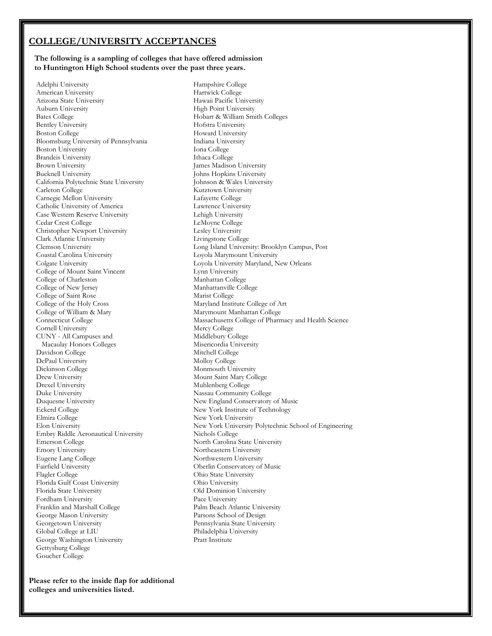# **COLLEGE/UNIVERSITY ACCEPTANCES**

#### **The following is a sampling of colleges that have offered admission to Huntington High School students over the past three years.**

 Adelphi University American University Arizona State University Auburn University Bates College Bentley University Boston College Bloomsburg University of Pennsylvania Boston University Brandeis University Brown University Bucknell University California Polytechnic State University Carleton College Carnegie Mellon University Catholic University of America Case Western Reserve University Cedar Crest College Christopher Newport University Clark Atlantic University Clemson University Coastal Carolina University Colgate University College of Mount Saint Vincent College of Charleston College of New Jersey College of Saint Rose College of the Holy Cross College of William & Mary Connecticut College Cornell University CUNY - All Campuses and Macaulay Honors Colleges Davidson College DePaul University Dickinson College Drew University Drexel University Duke University Duquesne University Eckerd College Elmira College Elon University Embry Riddle Aeronautical University Emerson College Emory University Eugene Lang College Fairfield University Flagler College Florida Gulf Coast University Florida State University Fordham University Franklin and Marshall College George Mason University Georgetown University Global College at LIU George Washington University Gettysburg College Goucher College

Hampshire College Hartwick College Hawaii Pacific University High Point University Hobart & William Smith Colleges Hofstra University Howard University Indiana University Iona College Ithaca College James Madison University Johns Hopkins University Johnson & Wales University Kutztown University Lafayette College Lawrence University Lehigh University LeMoyne College Lesley University Livingstone College Long Island University: Brooklyn Campus, Post Loyola Marymount University Loyola University Maryland, New Orleans Lynn University Manhattan College Manhattanville College Marist College Maryland Institute College of Art Marymount Manhattan College Massachusetts College of Pharmacy and Health Science Mercy College Middlebury College Misericordia University Mitchell College Molloy College Monmouth University Mount Saint Mary College Muhlenberg College Nassau Community College New England Conservatory of Music New York Institute of Technology New York University New York University Polytechnic School of Engineering Nichols College North Carolina State University Northeastern University Northwestern University Oberlin Conservatory of Music Ohio State University Ohio University Old Dominion University Pace University Palm Beach Atlantic University Parsons School of Design Pennsylvania State University Philadelphia University Pratt Institute

**Please refer to the inside flap for additional colleges and universities listed.**